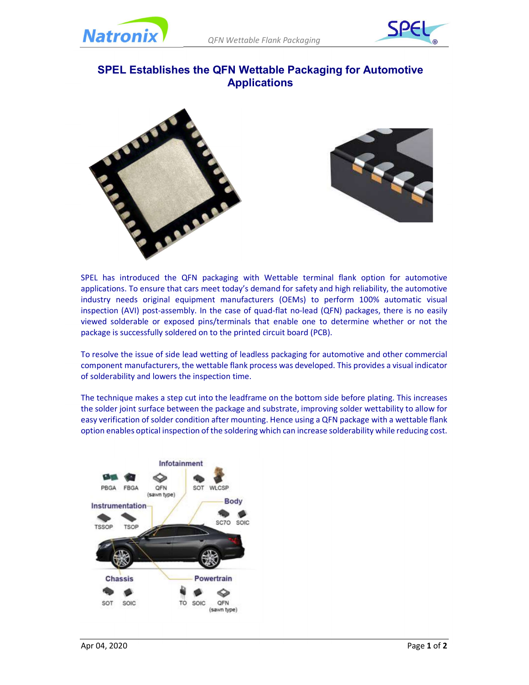



## SPEL Establishes the QFN Wettable Packaging for Automotive **Applications**



SPEL has introduced the QFN packaging with Wettable terminal flank option for automotive applications. To ensure that cars meet today's demand for safety and high reliability, the automotive industry needs original equipment manufacturers (OEMs) to perform 100% automatic visual inspection (AVI) post-assembly. In the case of quad-flat no-lead (QFN) packages, there is no easily viewed solderable or exposed pins/terminals that enable one to determine whether or not the package is successfully soldered on to the printed circuit board (PCB).

To resolve the issue of side lead wetting of leadless packaging for automotive and other commercial component manufacturers, the wettable flank process was developed. This provides a visual indicator of solderability and lowers the inspection time.

The technique makes a step cut into the leadframe on the bottom side before plating. This increases the solder joint surface between the package and substrate, improving solder wettability to allow for easy verification of solder condition after mounting. Hence using a QFN package with a wettable flank option enables optical inspection of the soldering which can increase solderability while reducing cost.